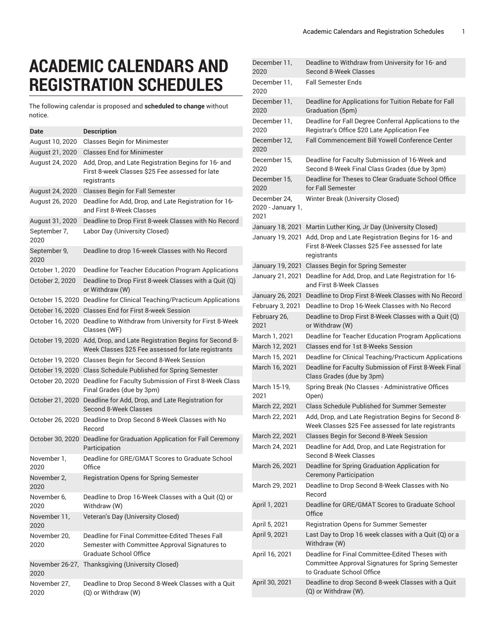## **ACADEMIC CALENDARS AND REGISTRATION SCHEDULES**

The following calendar is proposed and **scheduled to change** without notice.

| Date                 | <b>Description</b>                                                                                                                 |
|----------------------|------------------------------------------------------------------------------------------------------------------------------------|
| August 10, 2020      | <b>Classes Begin for Minimester</b>                                                                                                |
| August 21, 2020      | <b>Classes End for Minimester</b>                                                                                                  |
| August 24, 2020      | Add, Drop, and Late Registration Begins for 16- and<br>First 8-week Classes \$25 Fee assessed for late<br>registrants              |
| August 24, 2020      | <b>Classes Begin for Fall Semester</b>                                                                                             |
| August 26, 2020      | Deadline for Add, Drop, and Late Registration for 16-<br>and First 8-Week Classes                                                  |
| August 31, 2020      | Deadline to Drop First 8-week Classes with No Record                                                                               |
| September 7,<br>2020 | Labor Day (University Closed)                                                                                                      |
| September 9,<br>2020 | Deadline to drop 16-week Classes with No Record                                                                                    |
| October 1, 2020      | Deadline for Teacher Education Program Applications                                                                                |
| October 2, 2020      | Deadline to Drop First 8-week Classes with a Quit (Q)<br>or Withdraw (W)                                                           |
|                      | October 15, 2020 Deadline for Clinical Teaching/Practicum Applications                                                             |
|                      | October 16, 2020 Classes End for First 8-week Session                                                                              |
| October 16, 2020     | Deadline to Withdraw from University for First 8-Week<br>Classes (WF)                                                              |
|                      | October 19, 2020 Add, Drop, and Late Registration Begins for Second 8-<br>Week Classes \$25 Fee assessed for late registrants      |
|                      | October 19, 2020 Classes Begin for Second 8-Week Session                                                                           |
|                      | October 19, 2020 Class Schedule Published for Spring Semester                                                                      |
|                      | October 20, 2020 Deadline for Faculty Submission of First 8-Week Class<br>Final Grades (due by 3pm)                                |
|                      | October 21, 2020 Deadline for Add, Drop, and Late Registration for<br>Second 8-Week Classes                                        |
|                      | October 26, 2020 Deadline to Drop Second 8-Week Classes with No<br>Record                                                          |
|                      | October 30, 2020 Deadline for Graduation Application for Fall Ceremony<br>Participation                                            |
| November 1,<br>2020  | Deadline for GRE/GMAT Scores to Graduate School<br>Office                                                                          |
| November 2,<br>2020  | <b>Registration Opens for Spring Semester</b>                                                                                      |
| November 6,<br>2020  | Deadline to Drop 16-Week Classes with a Quit (Q) or<br>Withdraw (W)                                                                |
| November 11,<br>2020 | Veteran's Day (University Closed)                                                                                                  |
| November 20,<br>2020 | Deadline for Final Committee-Edited Theses Fall<br>Semester with Committee Approval Signatures to<br><b>Graduate School Office</b> |
| 2020                 | November 26-27, Thanksgiving (University Closed)                                                                                   |
| November 27,<br>2020 | Deadline to Drop Second 8-Week Classes with a Quit<br>(Q) or Withdraw (W)                                                          |

| December 11,<br>2020                      | Deadline to Withdraw from University for 16- and<br>Second 8-Week Classes                                                         |
|-------------------------------------------|-----------------------------------------------------------------------------------------------------------------------------------|
| December 11,<br>2020                      | <b>Fall Semester Ends</b>                                                                                                         |
| December 11,<br>2020                      | Deadline for Applications for Tuition Rebate for Fall<br>Graduation (5pm)                                                         |
| December 11,<br>2020                      | Deadline for Fall Degree Conferral Applications to the<br>Registrar's Office \$20 Late Application Fee                            |
| December 12,<br>2020                      | Fall Commencement Bill Yowell Conference Center                                                                                   |
| December 15,<br>2020                      | Deadline for Faculty Submission of 16-Week and<br>Second 8-Week Final Class Grades (due by 3pm)                                   |
| December 15,<br>2020                      | Deadline for Theses to Clear Graduate School Office<br>for Fall Semester                                                          |
| December 24,<br>2020 - January 1,<br>2021 | Winter Break (University Closed)                                                                                                  |
| January 18, 2021                          | Martin Luther King, Jr Day (University Closed)                                                                                    |
| January 19, 2021                          | Add, Drop and Late Registration Begins for 16- and<br>First 8-Week Classes \$25 Fee assessed for late<br>registrants              |
| January 19, 2021                          | Classes Begin for Spring Semester                                                                                                 |
| January 21, 2021                          | Deadline for Add, Drop, and Late Registration for 16-<br>and First 8-Week Classes                                                 |
| January 26, 2021                          | Deadline to Drop First 8-Week Classes with No Record                                                                              |
| February 3, 2021                          | Deadline to Drop 16-Week Classes with No Record                                                                                   |
| February 26,<br>2021                      | Deadline to Drop First 8-Week Classes with a Quit (Q)<br>or Withdraw (W)                                                          |
| March 1, 2021                             | Deadline for Teacher Education Program Applications                                                                               |
| March 12, 2021                            | Classes end for 1st 8-Weeks Session                                                                                               |
| March 15, 2021                            | Deadline for Clinical Teaching/Practicum Applications                                                                             |
| March 16, 2021                            | Deadline for Faculty Submission of First 8-Week Final<br>Class Grades (due by 3pm)                                                |
| March 15-19,<br>2021                      | Spring Break (No Classes - Administrative Offices<br>Open)                                                                        |
| March 22, 2021                            | <b>Class Schedule Published for Summer Semester</b>                                                                               |
| March 22, 2021                            | Add, Drop, and Late Registration Begins for Second 8-<br>Week Classes \$25 Fee assessed for late registrants                      |
| March 22, 2021                            | Classes Begin for Second 8-Week Session                                                                                           |
| March 24, 2021                            | Deadline for Add, Drop, and Late Registration for<br>Second 8-Week Classes                                                        |
| March 26, 2021                            | Deadline for Spring Graduation Application for<br><b>Ceremony Participation</b>                                                   |
| March 29, 2021                            | Deadline to Drop Second 8-Week Classes with No<br>Record                                                                          |
| April 1, 2021                             | Deadline for GRE/GMAT Scores to Graduate School<br>Office                                                                         |
| April 5, 2021                             | Registration Opens for Summer Semester                                                                                            |
| April 9, 2021                             | Last Day to Drop 16 week classes with a Quit (Q) or a<br>Withdraw (W)                                                             |
| April 16, 2021                            | Deadline for Final Committee-Edited Theses with<br>Committee Approval Signatures for Spring Semester<br>to Graduate School Office |
| April 30, 2021                            | Deadline to drop Second 8-week Classes with a Quit<br>(Q) or Withdraw (W).                                                        |
|                                           |                                                                                                                                   |